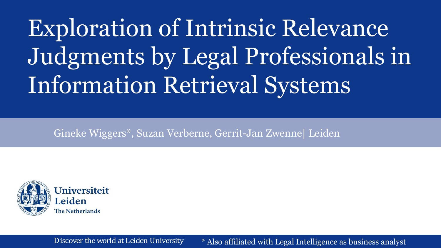Exploration of Intrinsic Relevance Judgments by Legal Professionals in Information Retrieval Systems

Gineke Wiggers\*, Suzan Verberne, Gerrit-Jan Zwenne| Leiden



Discover the world at Leiden University \* Also affiliated with Legal Intelligence as business analyst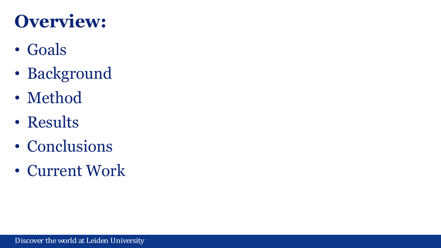#### **Overview:**

- Goals
- Background
- Method
- Results
- Conclusions
- Current Work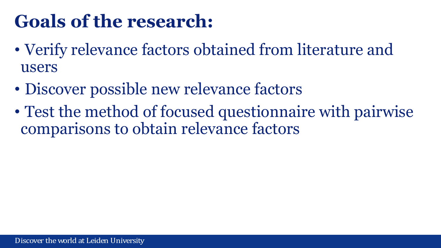#### **Goals of the research:**

- Verify relevance factors obtained from literature and users
- Discover possible new relevance factors
- Test the method of focused questionnaire with pairwise comparisons to obtain relevance factors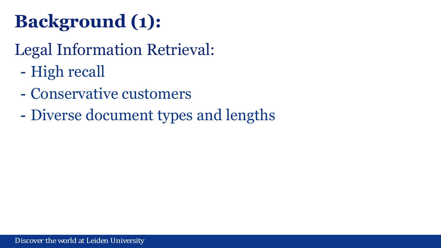### **Background (1):**

- Legal Information Retrieval:
	- High recall
	- Conservative customers
	- Diverse document types and lengths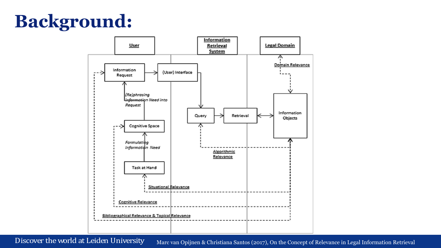### **Background:**



Discover theworld at Leiden University Marc van Opijnen & Christiana Santos (2017), On the Concept of Relevance in Legal Information Retrieval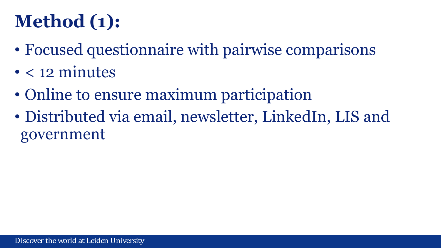### **Method (1):**

- Focused questionnaire with pairwise comparisons
- < 12 minutes
- Online to ensure maximum participation
- Distributed via email, newsletter, LinkedIn, LIS and government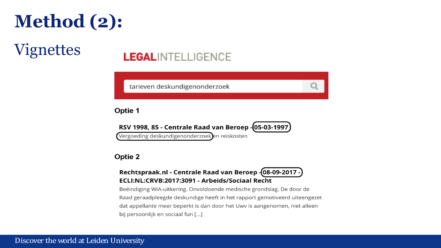#### **Method (2):**

#### Vignettes

#### **LEGALINTELLIGENCE**

tarieven deskundigenonderzoek

#### Optie 1

RSV 1998, 85 - Centrale Raad van Beroep - (05-03-1997)

Vergoeding deskundigenonderzoek en reiskosten

#### **Optie 2**

#### Rechtspraak.nl - Centrale Raad van Beroep -(08-09-2017 -) ECLI:NL:CRVB:2017:3091 - Arbeids/Sociaal Recht

Beëindiging WIA-uitkering. Onvoldoende medische grondslag. De door de Raad geraadpleegde deskundige heeft in het rapport gemotiveerd uiteengezet dat appellante meer beperkt is dan door het Uwv is aangenomen, niet alleen bij persoonlijk en sociaal fun [...]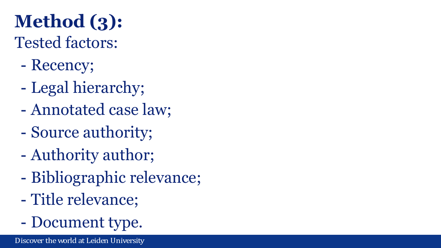## **Method (3):**

Tested factors:

- Recency;
- Legal hierarchy;
- Annotated case law;
- Source authority;
- Authority author;
- Bibliographic relevance;
- Title relevance;
- Document type.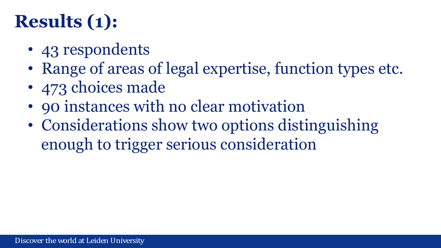#### **Results (1):**

- 43 respondents
- Range of areas of legal expertise, function types etc.
- 473 choices made
- 90 instances with no clear motivation
- Considerations show two options distinguishing enough to trigger serious consideration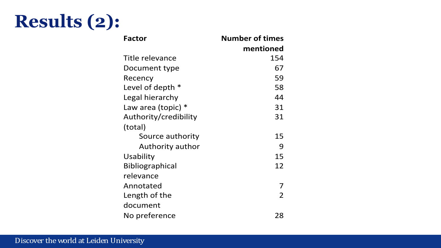#### **Results (2):**

| <b>Factor</b>          | <b>Number of times</b> |
|------------------------|------------------------|
|                        | mentioned              |
| Title relevance        | 154                    |
| Document type          | 67                     |
| Recency                | 59                     |
| Level of depth *       | 58                     |
| Legal hierarchy        | 44                     |
| Law area (topic) $*$   | 31                     |
| Authority/credibility  | 31                     |
| (total)                |                        |
| Source authority       | 15                     |
| Authority author       | 9                      |
| Usability              | 15                     |
| <b>Bibliographical</b> | 12                     |
| relevance              |                        |
| Annotated              | 7                      |
| Length of the          | $\overline{2}$         |
| document               |                        |
| No preference          | 28                     |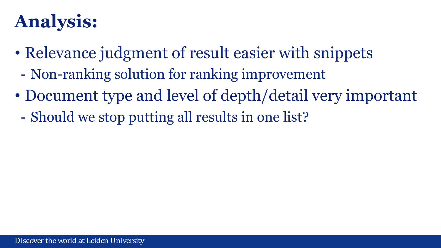### **Analysis:**

- Relevance judgment of result easier with snippets
	- Non-ranking solution for ranking improvement
- Document type and level of depth/detail very important
	- Should we stop putting all results in one list?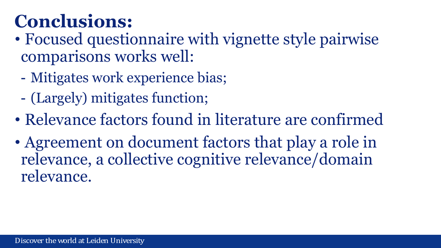#### **Conclusions:**

- Focused questionnaire with vignette style pairwise comparisons works well:
	- Mitigates work experience bias;
	- (Largely) mitigates function;
- Relevance factors found in literature are confirmed
- Agreement on document factors that play a role in relevance, a collective cognitive relevance/domain relevance.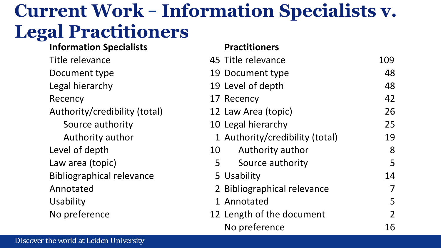#### **Current Work – Information Specialists v. Legal Practitioners**

#### **Information Specialists <b>Practitioners**

| Title relevance                  | 45 Title relevance              | 109            |
|----------------------------------|---------------------------------|----------------|
| Document type                    | 19 Document type                | 48             |
| Legal hierarchy                  | 19 Level of depth               | 48             |
| Recency                          | 17 Recency                      | 42             |
| Authority/credibility (total)    | 12 Law Area (topic)             | 26             |
| Source authority                 | 10 Legal hierarchy              | 25             |
| Authority author                 | 1 Authority/credibility (total) | 19             |
| Level of depth                   | Authority author<br>10          | 8              |
| Law area (topic)                 | Source authority<br>5           | 5              |
| <b>Bibliographical relevance</b> | 5 Usability                     | 14             |
| Annotated                        | 2 Bibliographical relevance     | 7              |
| Usability                        | 1 Annotated                     | 5              |
| No preference                    | 12 Length of the document       | $\overline{2}$ |
|                                  | No preference                   | 16             |
|                                  |                                 |                |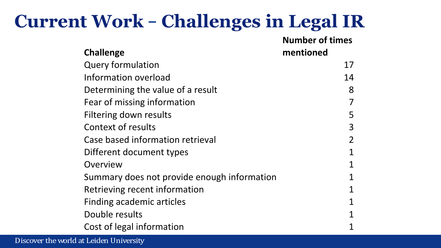#### **Current Work – Challenges in Legal IR**

|                                             | <b>Number of times</b> |
|---------------------------------------------|------------------------|
| <b>Challenge</b>                            | mentioned              |
| <b>Query formulation</b>                    | 17                     |
| Information overload                        | 14                     |
| Determining the value of a result           | 8                      |
| Fear of missing information                 |                        |
| Filtering down results                      | 5                      |
| <b>Context of results</b>                   | 3                      |
| Case based information retrieval            | 2                      |
| Different document types                    | 1                      |
| Overview                                    | 1                      |
| Summary does not provide enough information | 1                      |
| Retrieving recent information               | 1                      |
| Finding academic articles                   | $\mathbf 1$            |
| Double results                              |                        |
| Cost of legal information                   | 1                      |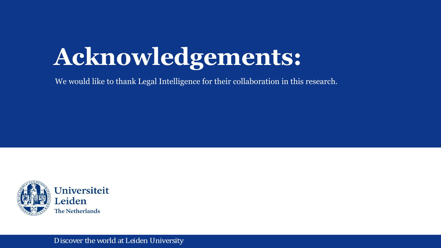# **Acknowledgements:**

We would like to thank Legal Intelligence for their collaboration in this research.



Discover the world at Leiden University